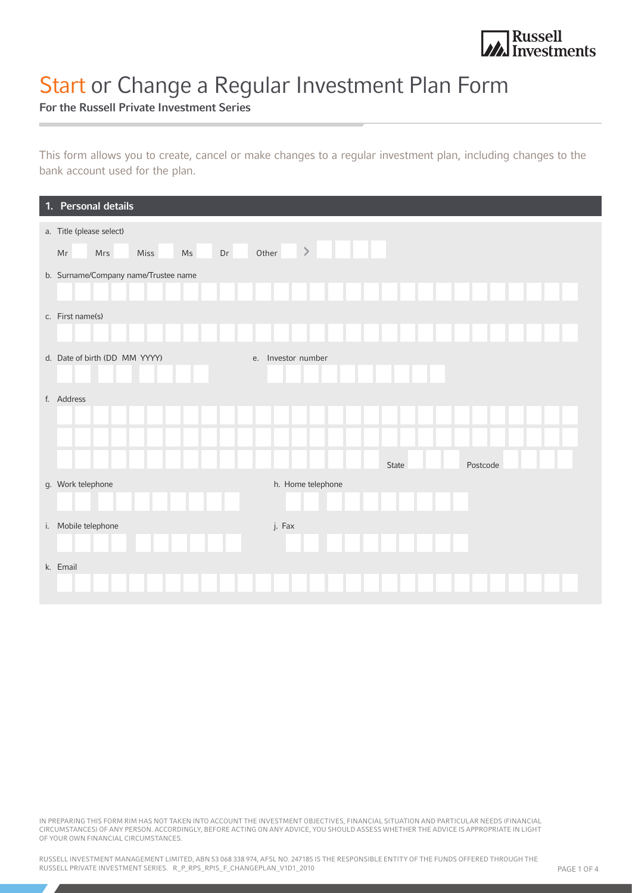

# Start or Change a Regular Investment Plan Form

For the Russell Private Investment Series

This form allows you to create, cancel or make changes to a regular investment plan, including changes to the bank account used for the plan.

| 1. Personal details                               |                    |
|---------------------------------------------------|--------------------|
| a. Title (please select)                          |                    |
| Other<br>$\mathsf{Ms}$<br>Dr<br>Mrs<br>Miss<br>Mr | $\, >$             |
| b. Surname/Company name/Trustee name              |                    |
| c. First name(s)                                  |                    |
| d. Date of birth (DD MM YYYY)                     | e. Investor number |
| f. Address                                        |                    |
|                                                   | State<br>Postcode  |
| g. Work telephone                                 | h. Home telephone  |
| i. Mobile telephone                               | j. Fax             |
| k. Email                                          |                    |

IN PREPARING THIS FORM RIM HAS NOT TAKEN INTO ACCOUNT THE INVESTMENT OBJECTIVES, FINANCIAL SITUATION AND PARTICULAR NEEDS (FINANCIAL CIRCUMSTANCES) OF ANY PERSON. ACCORDINGLY, BEFORE ACTING ON ANY ADVICE, YOU SHOULD ASSESS WHETHER THE ADVICE IS APPROPRIATE IN LIGHT OF YOUR OWN FINANCIAL CIRCUMSTANCES.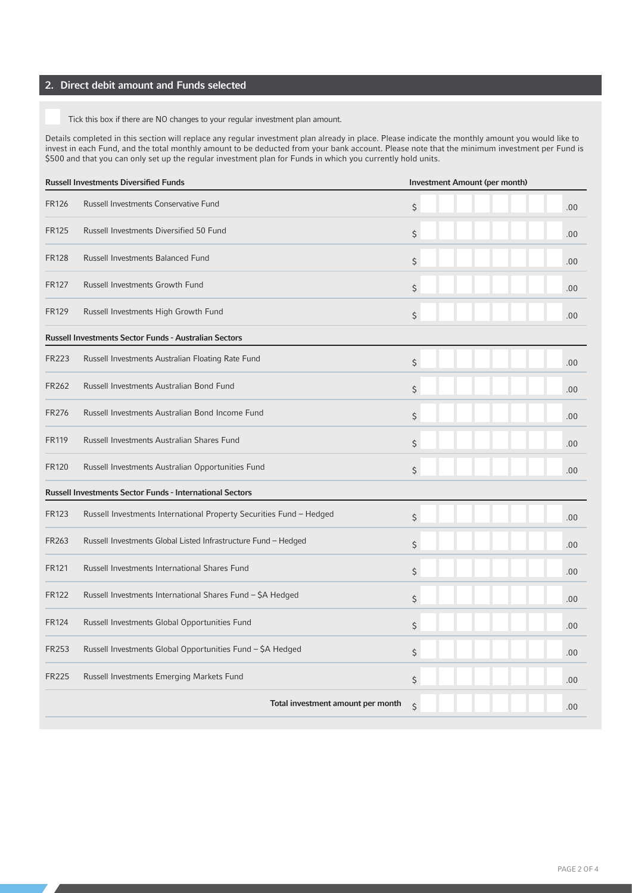# 2. Direct debit amount and Funds selected

Tick this box if there are NO changes to your regular investment plan amount.

Details completed in this section will replace any regular investment plan already in place. Please indicate the monthly amount you would like to invest in each Fund, and the total monthly amount to be deducted from your bank account. Please note that the minimum investment per Fund is \$500 and that you can only set up the regular investment plan for Funds in which you currently hold units.

|              | <b>Russell Investments Diversified Funds</b>                        | Investment Amount (per month) |     |  |
|--------------|---------------------------------------------------------------------|-------------------------------|-----|--|
| <b>FR126</b> | Russell Investments Conservative Fund                               | $\zeta$                       | .00 |  |
| <b>FR125</b> | Russell Investments Diversified 50 Fund                             | \$                            | .00 |  |
| <b>FR128</b> | Russell Investments Balanced Fund                                   | \$                            | .00 |  |
| <b>FR127</b> | <b>Russell Investments Growth Fund</b>                              | $\zeta$                       | .00 |  |
| <b>FR129</b> | Russell Investments High Growth Fund                                | \$                            | .00 |  |
|              | Russell Investments Sector Funds - Australian Sectors               |                               |     |  |
| <b>FR223</b> | Russell Investments Australian Floating Rate Fund                   | $\zeta$                       | .00 |  |
| FR262        | Russell Investments Australian Bond Fund                            | \$                            | .00 |  |
| <b>FR276</b> | Russell Investments Australian Bond Income Fund                     | $\zeta$                       | .00 |  |
| <b>FR119</b> | Russell Investments Australian Shares Fund                          | \$                            | .00 |  |
| <b>FR120</b> | Russell Investments Australian Opportunities Fund                   | $\zeta$                       | .00 |  |
|              | Russell Investments Sector Funds - International Sectors            |                               |     |  |
| <b>FR123</b> | Russell Investments International Property Securities Fund - Hedged | $\zeta$                       | .00 |  |
| FR263        | Russell Investments Global Listed Infrastructure Fund - Hedged      | \$                            | .00 |  |
| <b>FR121</b> | Russell Investments International Shares Fund                       | $\zeta$                       | .00 |  |
| <b>FR122</b> | Russell Investments International Shares Fund - \$A Hedged          | $\zeta$                       | .00 |  |
| <b>FR124</b> | Russell Investments Global Opportunities Fund                       | $\zeta$                       | .00 |  |
| FR253        | Russell Investments Global Opportunities Fund - \$A Hedged          | \$                            | .00 |  |
| <b>FR225</b> | Russell Investments Emerging Markets Fund                           | $\zeta$                       | .00 |  |
|              | Total investment amount per month                                   | $\zeta$                       | .00 |  |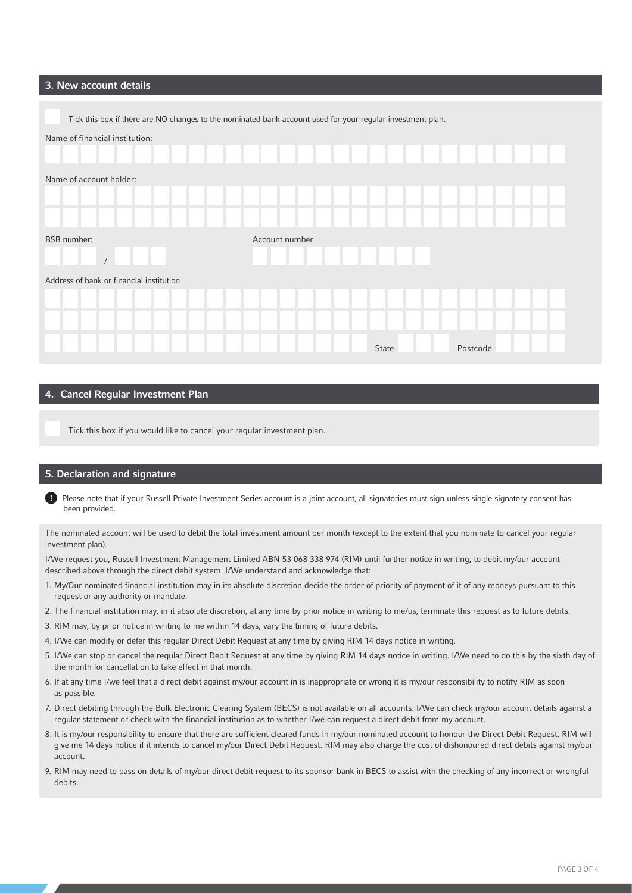## 3. New account details

| Tick this box if there are NO changes to the nominated bank account used for your regular investment plan. |                |       |          |
|------------------------------------------------------------------------------------------------------------|----------------|-------|----------|
| Name of financial institution:                                                                             |                |       |          |
|                                                                                                            |                |       |          |
| Name of account holder:                                                                                    |                |       |          |
|                                                                                                            |                |       |          |
|                                                                                                            |                |       |          |
| <b>BSB</b> number:                                                                                         | Account number |       |          |
|                                                                                                            |                |       |          |
| Address of bank or financial institution                                                                   |                |       |          |
|                                                                                                            |                |       |          |
|                                                                                                            |                |       |          |
|                                                                                                            |                | State | Postcode |

### 4. Cancel Regular Investment Plan

Tick this box if you would like to cancel your regular investment plan.

#### 5. Declaration and signature

Œ Please note that if your Russell Private Investment Series account is a joint account, all signatories must sign unless single signatory consent has been provided.

The nominated account will be used to debit the total investment amount per month (except to the extent that you nominate to cancel your regular investment plan).

I/We request you, Russell Investment Management Limited ABN 53 068 338 974 (RIM) until further notice in writing, to debit my/our account described above through the direct debit system. I/We understand and acknowledge that:

- 1. My/Our nominated financial institution may in its absolute discretion decide the order of priority of payment of it of any moneys pursuant to this request or any authority or mandate.
- 2. The financial institution may, in it absolute discretion, at any time by prior notice in writing to me/us, terminate this request as to future debits.
- 3. RIM may, by prior notice in writing to me within 14 days, vary the timing of future debits.
- 4. I/We can modify or defer this regular Direct Debit Request at any time by giving RIM 14 days notice in writing.
- 5. I/We can stop or cancel the regular Direct Debit Request at any time by giving RIM 14 days notice in writing. I/We need to do this by the sixth day of the month for cancellation to take effect in that month.
- 6. If at any time I/we feel that a direct debit against my/our account in is inappropriate or wrong it is my/our responsibility to notify RIM as soon as possible.
- 7. Direct debiting through the Bulk Electronic Clearing System (BECS) is not available on all accounts. I/We can check my/our account details against a regular statement or check with the financial institution as to whether I/we can request a direct debit from my account.
- 8. It is my/our responsibility to ensure that there are sufficient cleared funds in my/our nominated account to honour the Direct Debit Request. RIM will give me 14 days notice if it intends to cancel my/our Direct Debit Request. RIM may also charge the cost of dishonoured direct debits against my/our account.
- 9. RIM may need to pass on details of my/our direct debit request to its sponsor bank in BECS to assist with the checking of any incorrect or wrongful debits.